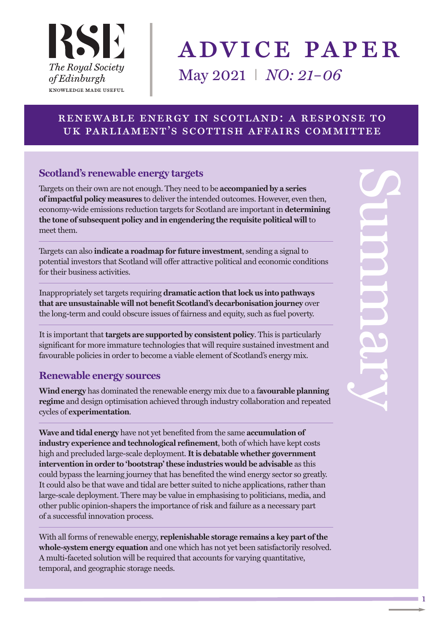

# advice paper May 2021 I *NO: 21–06*

## renewable energy in scotland: a response to uk parliament's scottish affairs committee

## **Scotland's renewable energy targets**

Targets on their own are not enough. They need to be **accompanied by a series ofimpactful policy measures** to deliver the intended outcomes. However, even then, economy-wide emissions reduction targets for Scotland are important in **determining the tone of subsequent policy and in engendering the requisite political will** to meet them.

Targets can also **indicate a roadmap for future investment**, sending a signal to potential investors that Scotland will offer attractive political and economic conditions for their business activities.

Inappropriately set targets requiring **dramatic action thatlock us into pathways that are unsustainable will not benefit Scotland's decarbonisation journey** over the long-term and could obscure issues of fairness and equity, such as fuel poverty.

It is important that **targets are supported by consistent policy**. This is particularly significant for more immature technologies that will require sustained investment and favourable policies in order to become a viable element of Scotland's energy mix.

#### **Renewable energy sources**

**Wind energy** has dominated the renewable energy mix due to a f**avourable planning regime** and design optimisation achieved through industry collaboration and repeated cycles of **experimentation**.

**Wave and tidal energy** have not yet benefited from the same **accumulation of industry experience and technological refinement**, both of which have kept costs high and precluded large-scale deployment. **Itis debatable whether government intervention in order to 'bootstrap'these industries would be advisable** as this could bypass the learning journey that has benefited the wind energy sector so greatly. It could also be that wave and tidal are better suited to niche applications, rather than large-scale deployment. There may be value in emphasising to politicians, media, and other public opinion-shapers the importance of risk and failure as a necessary part of a successful innovation process.

With all forms of renewable energy, **replenishable storage remains a key part ofthe whole-system energy equation** and one which has not yet been satisfactorily resolved. A multi-faceted solution will be required that accounts for varying quantitative, temporal, and geographic storage needs.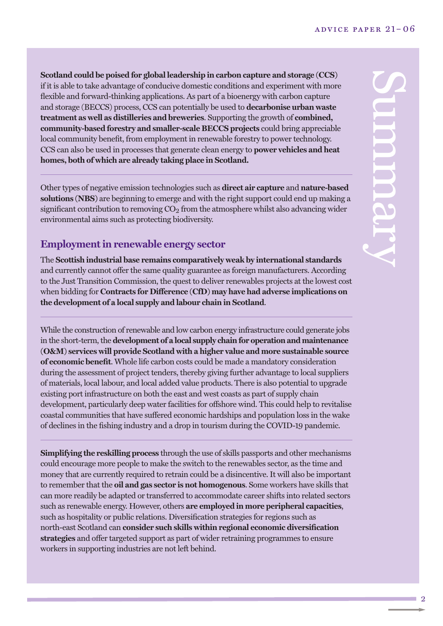**Scotland could be poised for global leadership in carbon capture and storage (CCS)** if it is able to take advantage of conducive domestic conditions and experiment with more flexible and forward-thinking applications. As part of a bioenergy with carbon capture and storage (BECCS) process, CCS can potentially be used to **decarbonise urban waste treatment as well as distilleries and breweries**. Supporting the growth of **combined, community-based forestry and smaller-scale BECCS projects** could bring appreciable local community benefit, from employment in renewable forestry to power technology. CCS can also be used in processes that generate clean energy to **power vehicles and heat homes, both of which are already taking place in Scotland.**

Other types of negative emission technologies such as **direct air capture** and **nature-based solutions (NBS)** are beginning to emerge and with the right support could end up making a significant contribution to removing  $CO<sub>2</sub>$  from the atmosphere whilst also advancing wider environmental aims such as protecting biodiversity.

# **Employmentin renewable energy sector**

The **Scottish industrial base remains comparatively weak by international standards** and currently cannot offer the same quality guarantee as foreign manufacturers. According to the Just Transition Commission, the quest to deliver renewables projects at the lowest cost when bidding for **Contracts for Difference (CfD) may have had adverse implications on the development of a local supply and labour chain in Scotland**.

While the construction of renewable and low carbon energy infrastructure could generate jobs in the short-term, the **development** of a local supply chain for operation and maintenance **(O&M) services will provide Scotland with a higher value and more sustainable source of economic benefit**. Whole life carbon costs could be made a mandatory consideration during the assessment of project tenders, thereby giving further advantage to local suppliers of materials, local labour, and local added value products. There is also potential to upgrade existing port infrastructure on both the east and west coasts as part of supply chain development, particularly deep water facilities for offshore wind. This could help to revitalise coastal communities that have suffered economic hardships and population loss in the wake of declines in the fishing industry and a drop in tourism during the COVID-19 pandemic.

**Simplifying the reskilling process** through the use of skills passports and other mechanisms could encourage more people to make the switch to the renewables sector, as the time and money that are currently required to retrain could be a disincentive. It will also be important to remember that the **oil and gas sector is not homogenous**. Some workers have skills that can more readily be adapted or transferred to accommodate career shifts into related sectors such as renewable energy. However, others **are employed in more peripheral capacities**, such as hospitality or public relations. Diversification strategies for regions such as north-east Scotland can **consider such skills within regional economic diversification strategies** and offer targeted support as part of wider retraining programmes to ensure workers in supporting industries are not left behind.

2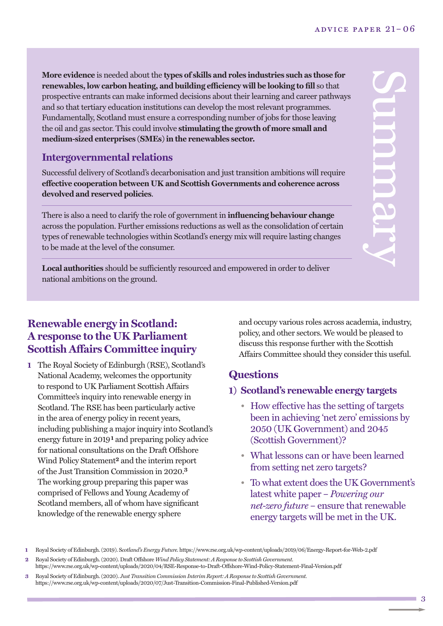$\mathbf{C}$ 

u

m

**DU** 

 $\mathbf{g}$ 

 $\prec$ 

**More evidence** is needed about the **types of skills and roles industries such as those for renewables, low carbon heating, and building efficiency will be looking to fill** so that prospective entrants can make informed decisions about their learning and career pathways and so that tertiary education institutions can develop the most relevant programmes. Fundamentally, Scotland must ensure a corresponding number of jobs for those leaving the oil and gas sector. This could involve **stimulating the growth of more small and medium-sized enterprises (SMEs)in the renewables sector.**

### **Intergovernmental relations**

Successful delivery of Scotland's decarbonisation and just transition ambitions will require **effective cooperation between UK and Scottish Governments and coherence across devolved and reserved policies**.

There is also a need to clarify the role of government in **influencing behaviour change** across the population. Further emissions reductions as well as the consolidation of certain types of renewable technologies within Scotland's energy mix will require lasting changes to be made at the level of the consumer.

**Local authorities** should be sufficiently resourced and empowered in order to deliver national ambitions on the ground.

## **Renewable energy in Scotland: A response to the UK Parliament Scottish Affairs Committee inquiry**

**1** The Royal Society of Edinburgh (RSE), Scotland's National Academy, welcomes the opportunity to respond to UK Parliament Scottish Affairs Committee's inquiry into renewable energy in Scotland. The RSE has been particularly active in the area of energy policy in recent years, including publishing a major inquiry into Scotland's energy future in 2019**1** and preparing policy advice for national consultations on the Draft Offshore Wind Policy Statement**2** and the interim report of the Just Transition Commission in 2020. **3** The working group preparing this paper was comprised of Fellows and Young Academy of Scotland members, all of whom have significant knowledge of the renewable energy sphere

and occupy various roles across academia, industry, policy, and other sectors. We would be pleased to discuss this response further with the Scottish Affairs Committee should they consider this useful.

# **Questions**

## **1) Scotland's renewable energy targets**

- How effective has the setting of targets been in achieving 'net zero' emissions by 2050 (UK Government) and 2045 (Scottish Government)?
- What lessons can or have been learned from setting net zero targets?
- To what extent does the UK Government's latest white paper – *[Powering](https://www.gov.uk/government/publications/energy-white-paper-powering-our-net-zero-future) our [net-zero](https://www.gov.uk/government/publications/energy-white-paper-powering-our-net-zero-future) future* – ensure that renewable energy targets will be met in the UK.

**<sup>1</sup>** Royal Society of Edinburgh.(2019). S*cotland's Energy Future.* [https://www.rse.org.uk/wp-content/uploads/2019/06/Energy-Report-for-Web-2.pdf](https://www.rse.org.uk/wp-content/uploads/2019/06/Energy-Report-for-Web-2.pdf )

**<sup>2</sup>** Royal Society of Edinburgh.(2020). Draft Offshore *Wind Policy Statement: A Response to Scottish Government.* [https://www.rse.org.uk/wp-content/uploads/2020/04/RSE-Response-to-Draft-Offshore-Wind-Policy-Statement-Final-Version.pdf](https://www.rse.org.uk/wp-content/uploads/2020/04/RSE-Response-to-Draft-Offshore-Wind-Policy-Statement-Final-Version.pdf )

**<sup>3</sup>** Royal Society of Edinburgh.(2020). *Just Transition Commission Interim Report: A Response to Scottish Government.* [https://www.rse.org.uk/wp-content/uploads/2020/07/Just-Transition-Commission-Final-Published-Version.pdf](https://www.rse.org.uk/wp-content/uploads/2020/07/Just-Transition-Commission-Final-Published-Version.pdf )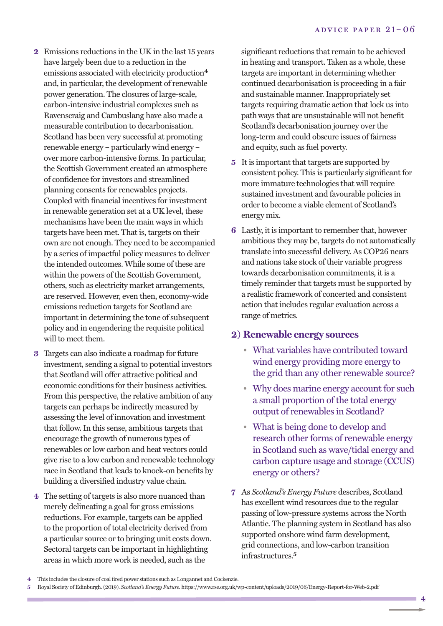- **2** Emissions reductions in the UK in the last 15 years have largely been due to a reduction in the emissions associated with electricity production**4** and, in particular, the development of renewable power generation. The closures of large-scale, carbon-intensive industrial complexes such as Ravenscraig and Cambuslang have also made a measurable contribution to decarbonisation. Scotland has been very successful at promoting renewable energy – particularly wind energy – over more carbon-intensive forms. In particular, the Scottish Government created an atmosphere of confidence for investors and streamlined planning consents for renewables projects. Coupled with financial incentives for investment in renewable generation set at a UK level, these mechanisms have been the main ways in which targets have been met. That is, targets on their own are not enough. They need to be accompanied by a series of impactful policy measures to deliver the intended outcomes. While some of these are within the powers of the Scottish Government, others, such as electricity market arrangements, are reserved. However, even then, economy-wide emissions reduction targets for Scotland are important in determining the tone of subsequent policy and in engendering the requisite political will to meet them.
- **3** Targets can also indicate a roadmap for future investment, sending a signal to potential investors that Scotland will offer attractive political and economic conditions for their business activities. From this perspective, the relative ambition of any targets can perhaps be indirectly measured by assessing the level of innovation and investment that follow. In this sense, ambitious targets that encourage the growth of numerous types of renewables or low carbon and heat vectors could give rise to a low carbon and renewable technology race in Scotland that leads to knock-on benefits by building a diversified industry value chain.
- **4** The setting of targets is also more nuanced than merely delineating a goal for gross emissions reductions. For example, targets can be applied to the proportion of total electricity derived from a particular source or to bringing unit costs down. Sectoral targets can be important in highlighting areas in which more work is needed, such as the

significant reductions that remain to be achieved in heating and transport. Taken as a whole, these targets are important in determining whether continued decarbonisation is proceeding in a fair and sustainable manner. Inappropriately set targets requiring dramatic action that lock us into pathways that are unsustainable will not benefit Scotland's decarbonisation journey over the long-term and could obscure issues of fairness and equity, such as fuel poverty.

- **5** It is important that targets are supported by consistent policy. This is particularly significant for more immature technologies that will require sustained investment and favourable policies in order to become a viable element of Scotland's energy mix.
- **6** Lastly, it is important to remember that, however ambitious they may be, targets do not automatically translate into successful delivery. As COP26 nears and nations take stock of their variable progress towards decarbonisation commitments, it is a timely reminder that targets must be supported by a realistic framework of concerted and consistent action that includes regular evaluation across a range of metrics.

#### **2) Renewable energy sources**

- What variables have contributed toward wind energy providing more energy to the grid than any other renewable source?
- Why does marine energy account for such a small proportion of the total energy output of renewables in Scotland?
- What is being done to develop and research other forms of renewable energy in Scotland such as wave/tidal energy and carbon capture usage and storage (CCUS) energy or others?
- **7** As *Scotland's Energy Future* describes, Scotland has excellent wind resources due to the regular passing of low-pressure systems across the North Atlantic. The planning system in Scotland has also supported onshore wind farm development, grid connections, and low-carbon transition infrastructures. **5**

**<sup>4</sup>** This includes the closure of coal fired power stations such as Longannet and Cockenzie.

**<sup>5</sup>** Royal Society of Edinburgh.(2019). *Scotland's Energy Future*. https://www.rse.org.uk/wp-content/uploads/2019/06/Energy-Report-for-Web-2.pdf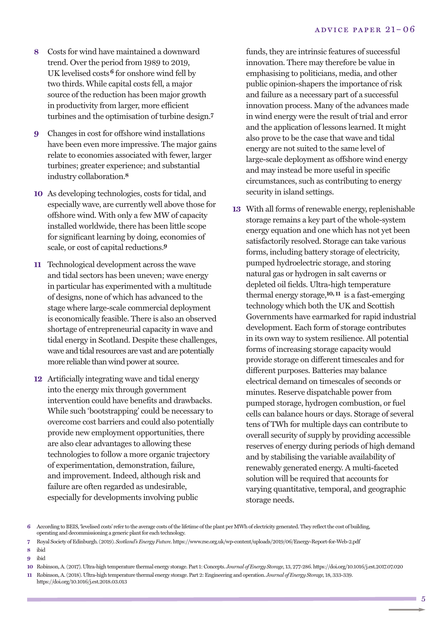- **8** Costs for wind have maintained a downward trend. Over the period from 1989 to 2019, UK levelised costs**6** for onshore wind fell by two thirds. While capital costs fell, a major source of the reduction has been major growth in productivity from larger, more efficient turbines and the optimisation of turbine design. **7**
- **9** Changes in cost for offshore wind installations have been even more impressive. The major gains relate to economies associated with fewer, larger turbines; greater experience; and substantial industry collaboration. **8**
- **10** As developing technologies, costs for tidal, and especially wave, are currently well above those for offshore wind. With only a few MW of capacity installed worldwide, there has been little scope for significant learning by doing, economies of scale, or cost of capital reductions. **9**
- **11** Technological development across the wave and tidal sectors has been uneven; wave energy in particular has experimented with a multitude of designs, none of which has advanced to the stage where large-scale commercial deployment is economically feasible. There is also an observed shortage of entrepreneurial capacity in wave and tidal energy in Scotland. Despite these challenges, wave and tidal resources are vast and are potentially more reliable than wind power at source.
- **12** Artificially integrating wave and tidal energy into the energy mix through government intervention could have benefits and drawbacks. While such 'bootstrapping' could be necessary to overcome cost barriers and could also potentially provide new employment opportunities, there are also clear advantages to allowing these technologies to follow a more organic trajectory of experimentation, demonstration, failure, and improvement. Indeed, although risk and failure are often regarded as undesirable, especially for developments involving public

funds, they are intrinsic features of successful innovation. There may therefore be value in emphasising to politicians, media, and other public opinion-shapers the importance of risk and failure as a necessary part of a successful innovation process. Many of the advances made in wind energy were the result of trial and error and the application of lessons learned. It might also prove to be the case that wave and tidal energy are not suited to the same level of large-scale deployment as offshore wind energy and may instead be more useful in specific circumstances, such as contributing to energy security in island settings.

**13** With all forms of renewable energy, replenishable storage remains a key part of the whole-system energy equation and one which has not yet been satisfactorily resolved. Storage can take various forms, including battery storage of electricity, pumped hydroelectric storage, and storing natural gas or hydrogen in salt caverns or depleted oil fields. Ultra-high temperature thermal energy storage, **10, 11** is a fast-emerging technology which both the UK and Scottish Governments have earmarked for rapid industrial development. Each form of storage contributes in its own way to system resilience. All potential forms of increasing storage capacity would provide storage on different timescales and for different purposes. Batteries may balance electrical demand on timescales of seconds or minutes. Reserve dispatchable power from pumped storage, hydrogen combustion, or fuel cells can balance hours or days. Storage of several tens of TWh for multiple days can contribute to overall security of supply by providing accessible reserves of energy during periods of high demand and by stabilising the variable availability of renewably generated energy. A multi-faceted solution will be required that accounts for varying quantitative, temporal, and geographic storage needs.

**7** Royal Society ofEdinburgh.(2019). *Scotland'sEnergyFuture*. <https://www.rse.org.uk/wp-content/uploads/2019/06/Energy-Report-for-Web-2.pdf>

**9** ibid

**<sup>6</sup>** According toBEIS, 'levelised costs' refer to the average costs ofthe lifetime ofthe plant perMWh of electricity generated.They reflectthe cost of building, operating and decommissioning a generic plant for each technology.

**<sup>8</sup>** ibid

**<sup>10</sup>** Robinson,A.(2017). Ultra-high temperature thermal energy storage. Part 1:Concepts. *Journal ofEnergy Storage*, 13, 277-286. https://doi.org/10.1016/j.est.2017.07.020 **11** Robinson,A.(2018). Ultra-high temperature thermal energy storage. Part 2:Engineering and operation. *Journal ofEnergy Storage,* 18, 333-339.

https://doi.org/10.1016/j.est.2018.03.013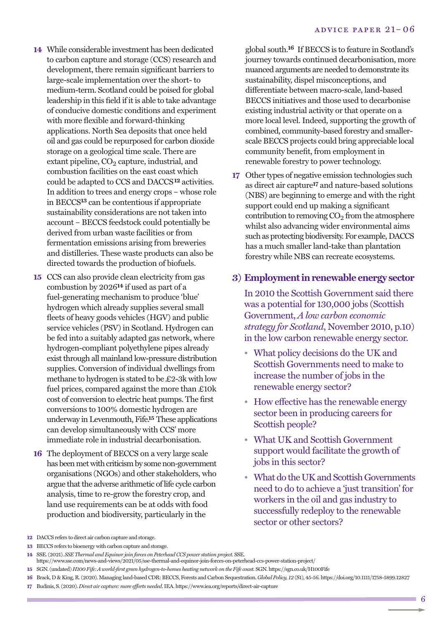- **14** While considerable investment has been dedicated to carbon capture and storage (CCS) research and development, there remain significant barriers to large-scale implementation over the short- to medium-term. Scotland could be poised for global leadership in this field if it is able to take advantage of conducive domestic conditions and experiment with more flexible and forward-thinking applications. North Sea deposits that once held oil and gas could be repurposed for carbon dioxide storage on a geological time scale. There are extant pipeline,  $CO<sub>2</sub>$  capture, industrial, and combustion facilities on the east coast which could be adapted to CCS and DACCS**12** activities. In addition to trees and energy crops – whose role in BECCS**13** can be contentious if appropriate sustainability considerations are not taken into account – BECCS feedstock could potentially be derived from urban waste facilities or from fermentation emissions arising from breweries and distilleries. These waste products can also be directed towards the production of biofuels.
- **15** CCS can also provide clean electricity from gas combustion by 2026**14** if used as part of a fuel-generating mechanism to produce 'blue' hydrogen which already supplies several small fleets of heavy goods vehicles (HGV) and public service vehicles (PSV) in Scotland. Hydrogen can be fed into a suitably adapted gas network, where hydrogen-compliant polyethylene pipes already exist through all mainland low-pressure distribution supplies. Conversion of individual dwellings from methane to hydrogen is stated to be £2-3k with low fuel prices, compared against the more than £10k cost of conversion to electric heat pumps. The first conversions to 100% domestic hydrogen are underway in Levenmouth, Fife. **15** These applications can develop simultaneously with CCS' more immediate role in industrial decarbonisation.
- **16** The deployment of BECCS on a very large scale has been met with criticism by some non-government organisations (NGOs) and other stakeholders, who argue that the adverse arithmetic of life cycle carbon analysis, time to re-grow the forestry crop, and land use requirements can be at odds with food production and biodiversity, particularly in the

global south. **16** If BECCS is to feature in Scotland's journey towards continued decarbonisation, more nuanced arguments are needed to demonstrate its sustainability, dispel misconceptions, and differentiate between macro-scale, land-based BECCS initiatives and those used to decarbonise existing industrial activity or that operate on a more local level. Indeed, supporting the growth of combined, community-based forestry and smallerscale BECCS projects could bring appreciable local community benefit, from employment in renewable forestry to power technology.

**17** Other types of negative emission technologies such as direct air capture**17** and nature-based solutions (NBS) are beginning to emerge and with the right support could end up making a significant contribution to removing  $CO<sub>2</sub>$  from the atmosphere whilst also advancing wider environmental aims such as protecting biodiversity. For example, DACCS has a much smaller land-take than plantation forestry while NBS can recreate ecosystems.

#### **3) Employmentinrenewable energy sector**

In 2010 the Scottish Government said there was a potential for 130,000 jobs (Scottish Government, *A low carbon [economic](https://www.gov.scot/policies/renewable-and-low-carbon-energy/) strategy for [Scotland](https://www.gov.scot/policies/renewable-and-low-carbon-energy/)*, November 2010, p.10) in the low carbon renewable energy sector.

- What policy decisions do the UK and Scottish Governments need to make to increase the number of jobs in the renewable energy sector?
- How effective has the renewable energy sector been in producing careers for Scottish people?
- What UK and Scottish Government support would facilitate the growth of jobs in this sector?
- What do the UK and Scottish Governments need to do to achieve a 'just transition' for workers in the oil and gas industry to successfully redeploy to the renewable sector or other sectors?

**13** BECCS refers to bioenergy with carbon capture and storage.

**17** Budinis, S.(2020). *Direct air capture: more efforts needed*. IEA. <https://www.iea.org/reports/direct-air-capture>

**<sup>12</sup>** DACCS refers to direct air carbon capture and storage.

**<sup>14</sup>** SSE.(2021). *SSEThermal andEquinor join forces on PeterheadCCS power station project.* SSE.

https://www.sse.com/news-and-views/2021/05/sse-thermal-and-equinor-join-forces-on-peterhead-ccs-power-station-project/

**<sup>15</sup>** SGN.(undated) *H100Fife:A world-first green hydrogen-to-homes heating network on theFife coast.* SGN. https://sgn.co.uk/H100Fife

**<sup>16</sup>** Brack, D & King, R.(2020).Managing land-basedCDR:BECCS, Forests andCarbon Sequestration. *Global Policy, 12* (S1), 45-56. https://doi.org/10.1111/1758-5899.12827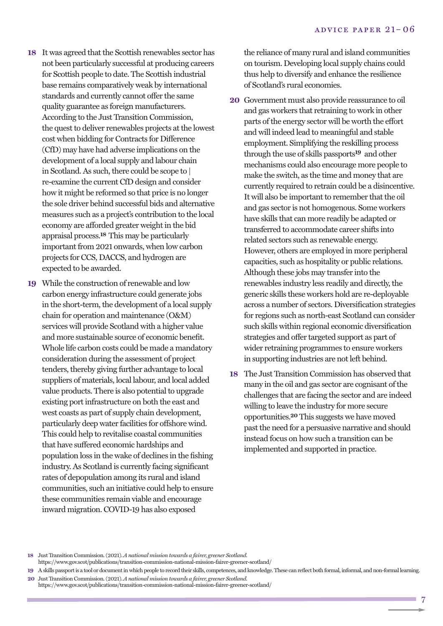- 18 It was agreed that the Scottish renewables sector has not been particularly successful at producing careers for Scottish people to date. The Scottish industrial base remains comparatively weak by international standards and currently cannot offer the same quality guarantee as foreign manufacturers. According to the Just Transition Commission, the quest to deliver renewables projects at the lowest cost when bidding for Contracts for Difference (CfD) may have had adverse implications on the development of a local supply and labour chain in Scotland. As such, there could be scope to | re-examine the current CfD design and consider how it might be reformed so that price is no longer the sole driver behind successful bids and alternative measures such as a project's contribution to the local economy are afforded greater weight in the bid appraisal process. **18** This may be particularly important from 2021 onwards, when low carbon projects for CCS, DACCS, and hydrogen are expected to be awarded.
- **19** While the construction of renewable and low carbon energy infrastructure could generate jobs in the short-term, the development of a local supply chain for operation and maintenance (O&M) services will provide Scotland with a higher value and more sustainable source of economic benefit. Whole life carbon costs could be made a mandatory consideration during the assessment of project tenders, thereby giving further advantage to local suppliers of materials, local labour, and local added value products. There is also potential to upgrade existing portinfrastructure on both the east and west coasts as part of supply chain development, particularly deep water facilities for offshore wind. This could help to revitalise coastal communities that have suffered economic hardships and population loss in the wake of declines in the fishing industry.As Scotland is currently facing significant rates of depopulation among its rural and island communities, such an initiative could help to ensure these communities remain viable and encourage inward migration. COVID-19 has also exposed

the reliance of many rural and island communities on tourism. Developing local supply chains could thus help to diversify and enhance the resilience of Scotland's rural economies.

- **20** Government must also provide reassurance to oil and gas workers that retraining to work in other parts of the energy sector will be worth the effort and will indeed lead to meaningful and stable employment. Simplifying the reskilling process through the use of skills passports**19** and other mechanisms could also encourage more people to make the switch, as the time and money that are currently required to retrain could be a disincentive. It will also be important to remember that the oil and gas sector is not homogenous. Some workers have skills that can more readily be adapted or transferred to accommodate career shifts into related sectors such as renewable energy. However, others are employed in more peripheral capacities, such as hospitality or public relations. Although these jobs may transfer into the renewables industry less readily and directly, the generic skills these workers hold are re-deployable across a number of sectors. Diversification strategies for regions such as north-east Scotland can consider such skills within regional economic diversification strategies and offer targeted support as part of wider retraining programmes to ensure workers in supporting industries are not left behind.
- **18** The Just Transition Commission has observed that many in the oil and gas sector are cognisant of the challenges that are facing the sector and are indeed willing to leave the industry for more secure opportunities. **20** This suggests we have moved pastthe need for a persuasive narrative and should instead focus on how such a transition can be implemented and supported in practice.

**18** Just Transition Commission.(2021). *A national mission towards a fairer, greener Scotland.* https://www.gov.scot/publications/transition-commission-national-mission-fairer-greener-scotland/

**<sup>19</sup>** Askills passportis a tool or documentin which people to record their skills, competences, and knowledge.These can reflect both formal, informal, and non-formal learning. **20** Just Transition Commission.(2021). *A national mission towards a fairer, greener Scotland.*

https://www.gov.scot/publications/transition-commission-national-mission-fairer-greener-scotland/